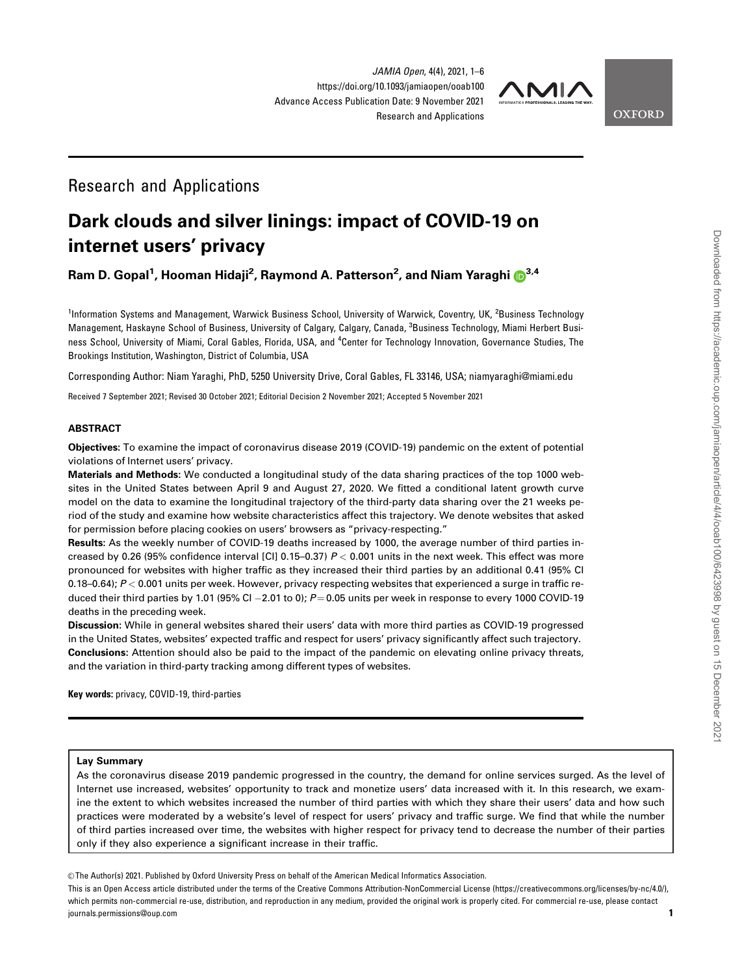JAMIA Open, 4(4), 2021, 1–6 https://doi.org/10.1093/jamiaopen/ooab100 Advance Access Publication Date: 9 November 2021 Research and Applications



**OXFORD** 

# Research and Applications

# Dark clouds and silver linings: impact of COVID-19 on internet users' privacy

Ram D. Gopal1 , Hooman Hidaji2 , Raymond A. Patterson2 , and Niam Yaraghi 3,4

<sup>1</sup>Information Systems and Management, Warwick Business School, University of Warwick, Coventry, UK, <sup>2</sup>Business Technology Management, Haskayne School of Business, University of Calgary, Calgary, Canada, <sup>3</sup>Business Technology, Miami Herbert Business School, University of Miami, Coral Gables, Florida, USA, and <sup>4</sup>Center for Technology Innovation, Governance Studies, The Brookings Institution, Washington, District of Columbia, USA

Corresponding Author: Niam Yaraghi, PhD, 5250 University Drive, Coral Gables, FL 33146, USA; niamyaraghi@miami.edu

Received 7 September 2021; Revised 30 October 2021; Editorial Decision 2 November 2021; Accepted 5 November 2021

#### ABSTRACT

Objectives: To examine the impact of coronavirus disease 2019 (COVID-19) pandemic on the extent of potential violations of Internet users' privacy.

Materials and Methods: We conducted a longitudinal study of the data sharing practices of the top 1000 websites in the United States between April 9 and August 27, 2020. We fitted a conditional latent growth curve model on the data to examine the longitudinal trajectory of the third-party data sharing over the 21 weeks period of the study and examine how website characteristics affect this trajectory. We denote websites that asked for permission before placing cookies on users' browsers as "privacy-respecting."

Results: As the weekly number of COVID-19 deaths increased by 1000, the average number of third parties increased by 0.26 (95% confidence interval [CI] 0.15–0.37)  $P < 0.001$  units in the next week. This effect was more pronounced for websites with higher traffic as they increased their third parties by an additional 0.41 (95% CI 0.18–0.64);  $P < 0.001$  units per week. However, privacy respecting websites that experienced a surge in traffic reduced their third parties by 1.01 (95% Cl  $-$  2.01 to 0);  $P$   $=$  0.05 units per week in response to every 1000 COVID-19  $\,$ deaths in the preceding week.

Discussion: While in general websites shared their users' data with more third parties as COVID-19 progressed in the United States, websites' expected traffic and respect for users' privacy significantly affect such trajectory. Conclusions: Attention should also be paid to the impact of the pandemic on elevating online privacy threats, and the variation in third-party tracking among different types of websites.

Key words: privacy, COVID-19, third-parties

#### Lay Summary

As the coronavirus disease 2019 pandemic progressed in the country, the demand for online services surged. As the level of Internet use increased, websites' opportunity to track and monetize users' data increased with it. In this research, we examine the extent to which websites increased the number of third parties with which they share their users' data and how such practices were moderated by a website's level of respect for users' privacy and traffic surge. We find that while the number of third parties increased over time, the websites with higher respect for privacy tend to decrease the number of their parties only if they also experience a significant increase in their traffic.

V<sup>C</sup> The Author(s) 2021. Published by Oxford University Press on behalf of the American Medical Informatics Association.

This is an Open Access article distributed under the terms of the Creative Commons Attribution-NonCommercial License (https://creativecommons.org/licenses/by-nc/4.0/), which permits non-commercial re-use, distribution, and reproduction in any medium, provided the original work is properly cited. For commercial re-use, please contact journals.permissions@oup.com 1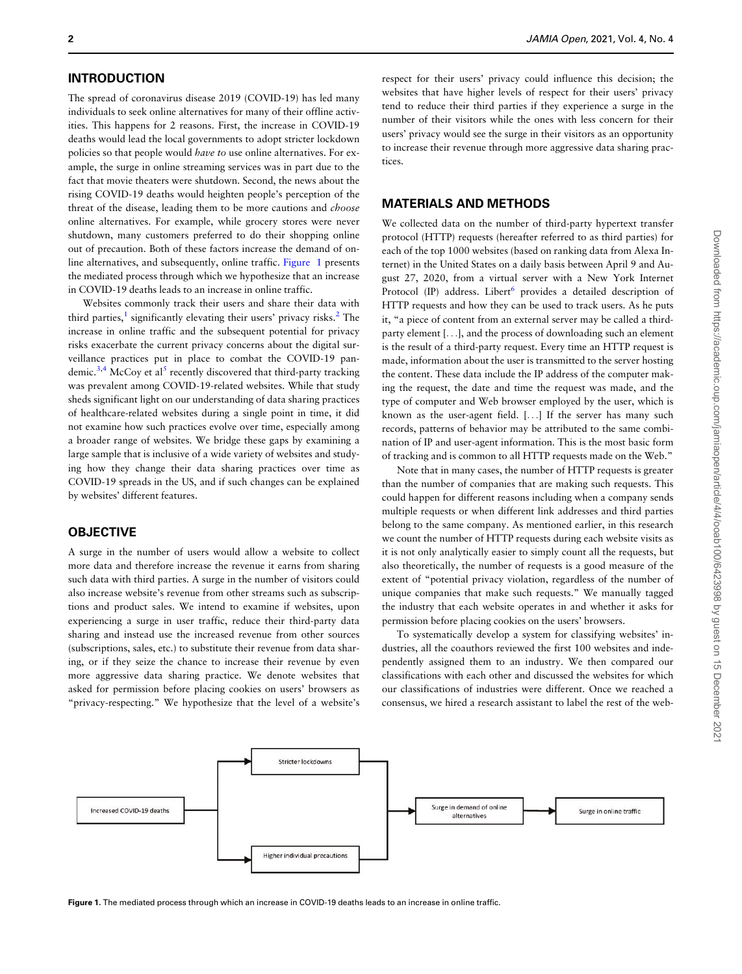# **INTRODUCTION**

The spread of coronavirus disease 2019 (COVID-19) has led many individuals to seek online alternatives for many of their offline activities. This happens for 2 reasons. First, the increase in COVID-19 deaths would lead the local governments to adopt stricter lockdown policies so that people would have to use online alternatives. For example, the surge in online streaming services was in part due to the fact that movie theaters were shutdown. Second, the news about the rising COVID-19 deaths would heighten people's perception of the threat of the disease, leading them to be more cautions and *choose* online alternatives. For example, while grocery stores were never shutdown, many customers preferred to do their shopping online out of precaution. Both of these factors increase the demand of online alternatives, and subsequently, online traffic. Figure 1 presents the mediated process through which we hypothesize that an increase in COVID-19 deaths leads to an increase in online traffic.

Websites commonly track their users and share their data with third parties, $<sup>1</sup>$  significantly elevating their users' privacy risks. $<sup>2</sup>$  The</sup></sup> increase in online traffic and the subsequent potential for privacy risks exacerbate the current privacy concerns about the digital surveillance practices put in place to combat the COVID-19 pan-demic.<sup>3,4</sup> McCoy et al<sup>[5](#page-5-0)</sup> recently discovered that third-party tracking was prevalent among COVID-19-related websites. While that study sheds significant light on our understanding of data sharing practices of healthcare-related websites during a single point in time, it did not examine how such practices evolve over time, especially among a broader range of websites. We bridge these gaps by examining a large sample that is inclusive of a wide variety of websites and studying how they change their data sharing practices over time as COVID-19 spreads in the US, and if such changes can be explained by websites' different features.

#### **OBJECTIVE**

A surge in the number of users would allow a website to collect more data and therefore increase the revenue it earns from sharing such data with third parties. A surge in the number of visitors could also increase website's revenue from other streams such as subscriptions and product sales. We intend to examine if websites, upon experiencing a surge in user traffic, reduce their third-party data sharing and instead use the increased revenue from other sources (subscriptions, sales, etc.) to substitute their revenue from data sharing, or if they seize the chance to increase their revenue by even more aggressive data sharing practice. We denote websites that asked for permission before placing cookies on users' browsers as "privacy-respecting." We hypothesize that the level of a website's

respect for their users' privacy could influence this decision; the websites that have higher levels of respect for their users' privacy tend to reduce their third parties if they experience a surge in the number of their visitors while the ones with less concern for their users' privacy would see the surge in their visitors as an opportunity to increase their revenue through more aggressive data sharing practices.

#### MATERIALS AND METHODS

We collected data on the number of third-party hypertext transfer protocol (HTTP) requests (hereafter referred to as third parties) for each of the top 1000 websites (based on ranking data from Alexa Internet) in the United States on a daily basis between April 9 and August 27, 2020, from a virtual server with a New York Internet Protocol (IP) address. Libert<sup>6</sup> provides a detailed description of HTTP requests and how they can be used to track users. As he puts it, "a piece of content from an external server may be called a thirdparty element [...], and the process of downloading such an element is the result of a third-party request. Every time an HTTP request is made, information about the user is transmitted to the server hosting the content. These data include the IP address of the computer making the request, the date and time the request was made, and the type of computer and Web browser employed by the user, which is known as the user-agent field. [...] If the server has many such records, patterns of behavior may be attributed to the same combination of IP and user-agent information. This is the most basic form of tracking and is common to all HTTP requests made on the Web."

Note that in many cases, the number of HTTP requests is greater than the number of companies that are making such requests. This could happen for different reasons including when a company sends multiple requests or when different link addresses and third parties belong to the same company. As mentioned earlier, in this research we count the number of HTTP requests during each website visits as it is not only analytically easier to simply count all the requests, but also theoretically, the number of requests is a good measure of the extent of "potential privacy violation, regardless of the number of unique companies that make such requests." We manually tagged the industry that each website operates in and whether it asks for permission before placing cookies on the users' browsers.

To systematically develop a system for classifying websites' industries, all the coauthors reviewed the first 100 websites and independently assigned them to an industry. We then compared our classifications with each other and discussed the websites for which our classifications of industries were different. Once we reached a consensus, we hired a research assistant to label the rest of the web-



Figure 1. The mediated process through which an increase in COVID-19 deaths leads to an increase in online traffic.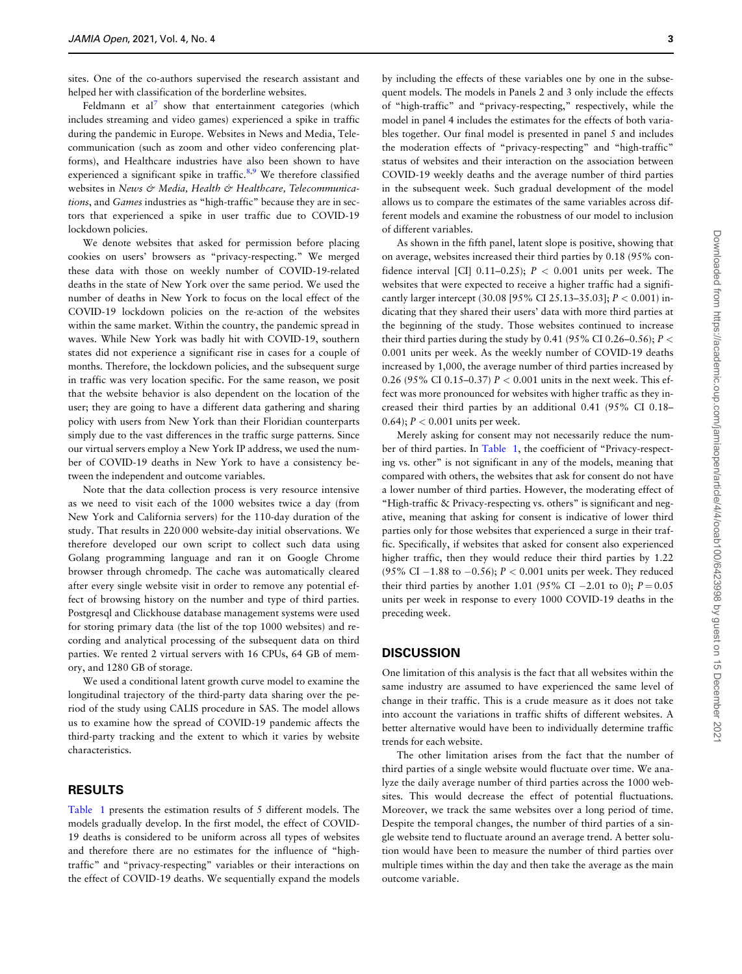sites. One of the co-authors supervised the research assistant and helped her with classification of the borderline websites.

Feldmann et  $al^7$  show that entertainment categories (which includes streaming and video games) experienced a spike in traffic during the pandemic in Europe. Websites in News and Media, Telecommunication (such as zoom and other video conferencing platforms), and Healthcare industries have also been shown to have experienced a significant spike in traffic. $8,9$  We therefore classified websites in News & Media, Health & Healthcare, Telecommunications, and Games industries as "high-traffic" because they are in sectors that experienced a spike in user traffic due to COVID-19 lockdown policies.

We denote websites that asked for permission before placing cookies on users' browsers as "privacy-respecting." We merged these data with those on weekly number of COVID-19-related deaths in the state of New York over the same period. We used the number of deaths in New York to focus on the local effect of the COVID-19 lockdown policies on the re-action of the websites within the same market. Within the country, the pandemic spread in waves. While New York was badly hit with COVID-19, southern states did not experience a significant rise in cases for a couple of months. Therefore, the lockdown policies, and the subsequent surge in traffic was very location specific. For the same reason, we posit that the website behavior is also dependent on the location of the user; they are going to have a different data gathering and sharing policy with users from New York than their Floridian counterparts simply due to the vast differences in the traffic surge patterns. Since our virtual servers employ a New York IP address, we used the number of COVID-19 deaths in New York to have a consistency between the independent and outcome variables.

Note that the data collection process is very resource intensive as we need to visit each of the 1000 websites twice a day (from New York and California servers) for the 110-day duration of the study. That results in 220 000 website-day initial observations. We therefore developed our own script to collect such data using Golang programming language and ran it on Google Chrome browser through chromedp. The cache was automatically cleared after every single website visit in order to remove any potential effect of browsing history on the number and type of third parties. Postgresql and Clickhouse database management systems were used for storing primary data (the list of the top 1000 websites) and recording and analytical processing of the subsequent data on third parties. We rented 2 virtual servers with 16 CPUs, 64 GB of memory, and 1280 GB of storage.

We used a conditional latent growth curve model to examine the longitudinal trajectory of the third-party data sharing over the period of the study using CALIS procedure in SAS. The model allows us to examine how the spread of COVID-19 pandemic affects the third-party tracking and the extent to which it varies by website characteristics.

#### RESULTS

[Table 1](#page-3-0) presents the estimation results of 5 different models. The models gradually develop. In the first model, the effect of COVID-19 deaths is considered to be uniform across all types of websites and therefore there are no estimates for the influence of "hightraffic" and "privacy-respecting" variables or their interactions on the effect of COVID-19 deaths. We sequentially expand the models

by including the effects of these variables one by one in the subsequent models. The models in Panels 2 and 3 only include the effects of "high-traffic" and "privacy-respecting," respectively, while the model in panel 4 includes the estimates for the effects of both variables together. Our final model is presented in panel 5 and includes the moderation effects of "privacy-respecting" and "high-traffic" status of websites and their interaction on the association between COVID-19 weekly deaths and the average number of third parties in the subsequent week. Such gradual development of the model allows us to compare the estimates of the same variables across different models and examine the robustness of our model to inclusion of different variables.

As shown in the fifth panel, latent slope is positive, showing that on average, websites increased their third parties by 0.18 (95% confidence interval [CI] 0.11-0.25);  $P < 0.001$  units per week. The websites that were expected to receive a higher traffic had a significantly larger intercept (30.08 [95% CI 25.13-35.03];  $P < 0.001$  indicating that they shared their users' data with more third parties at the beginning of the study. Those websites continued to increase their third parties during the study by 0.41 (95% CI 0.26–0.56);  $P <$ 0.001 units per week. As the weekly number of COVID-19 deaths increased by 1,000, the average number of third parties increased by 0.26 (95% CI 0.15–0.37)  $P < 0.001$  units in the next week. This effect was more pronounced for websites with higher traffic as they increased their third parties by an additional 0.41 (95% CI 0.18– 0.64);  $P < 0.001$  units per week.

Merely asking for consent may not necessarily reduce the number of third parties. In [Table 1,](#page-3-0) the coefficient of "Privacy-respecting vs. other" is not significant in any of the models, meaning that compared with others, the websites that ask for consent do not have a lower number of third parties. However, the moderating effect of "High-traffic & Privacy-respecting vs. others" is significant and negative, meaning that asking for consent is indicative of lower third parties only for those websites that experienced a surge in their traffic. Specifically, if websites that asked for consent also experienced higher traffic, then they would reduce their third parties by 1.22 (95% CI  $-1.88$  to  $-0.56$ );  $P < 0.001$  units per week. They reduced their third parties by another 1.01 (95% CI  $-2.01$  to 0);  $P = 0.05$ units per week in response to every 1000 COVID-19 deaths in the preceding week.

#### **DISCUSSION**

One limitation of this analysis is the fact that all websites within the same industry are assumed to have experienced the same level of change in their traffic. This is a crude measure as it does not take into account the variations in traffic shifts of different websites. A better alternative would have been to individually determine traffic trends for each website.

The other limitation arises from the fact that the number of third parties of a single website would fluctuate over time. We analyze the daily average number of third parties across the 1000 websites. This would decrease the effect of potential fluctuations. Moreover, we track the same websites over a long period of time. Despite the temporal changes, the number of third parties of a single website tend to fluctuate around an average trend. A better solution would have been to measure the number of third parties over multiple times within the day and then take the average as the main outcome variable.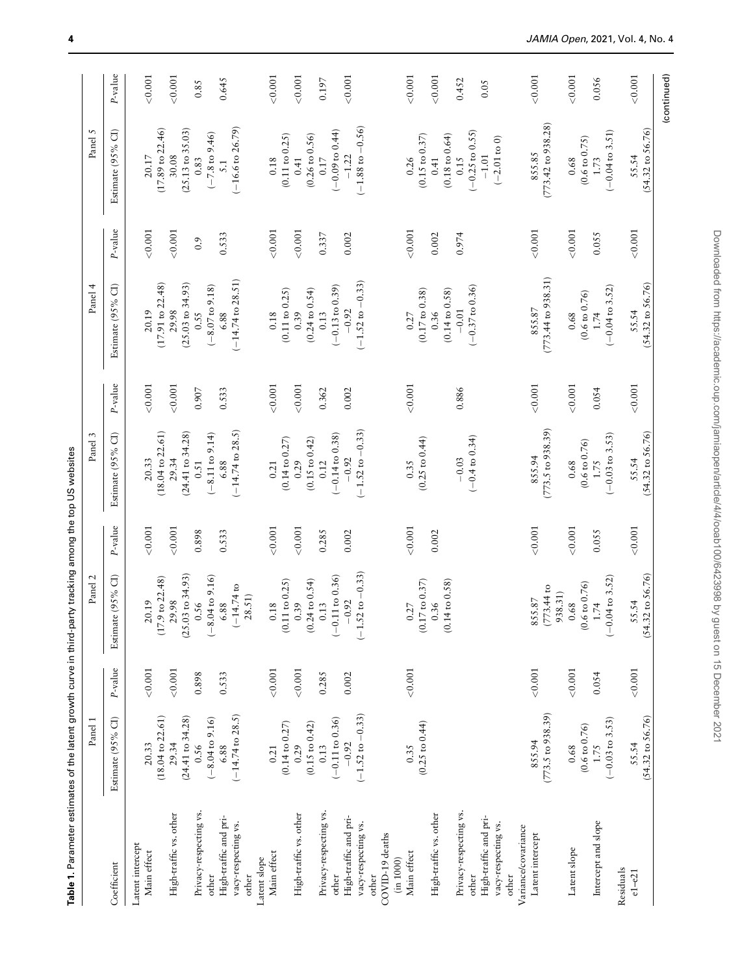<span id="page-3-0"></span>

|                                                                                          | Panel 1                                |            | Panel 2                                                        |         | Panel 3                                                              |            | Panel 4                                                        |         | Panel 5                                                                  |               |
|------------------------------------------------------------------------------------------|----------------------------------------|------------|----------------------------------------------------------------|---------|----------------------------------------------------------------------|------------|----------------------------------------------------------------|---------|--------------------------------------------------------------------------|---------------|
| Coefficient                                                                              | Estimate (95% CI)                      | P-value    | Estimate (95% CI)                                              | P-value | Estimate (95% CI)                                                    | $P$ -value | Estimate (95% CI)                                              | P-value | Estimate (95% CI)                                                        | P-value       |
| Latent intercept<br>Main effect                                                          | $(18.04 \text{ to } 22.61)$<br>20.33   | $<\!0.001$ | 20.19                                                          | < 0.001 | 20.33                                                                | 0.001      | 20.19                                                          | < 0.001 | 20.17                                                                    | < 0.001       |
| High-traffic vs. other                                                                   | $(24.41$ to 34.28)<br>29.34            | < 0.001    | 1.03 to 34.93<br>$(17.9 \text{ to } 22.48)$<br>29.98<br>(25)   | < 0.001 | $(18.04 \text{ to } 22.61)$<br>$(24.41$ to 34.28)<br>29.34           | < 0.001    | $(17.91$ to $22.48$<br>$(25.03 \text{ to } 34.93)$<br>29.98    | < 0.001 | $(17.89 \text{ to } 22.46)$<br>$(25.13 \text{ to } 35.03)$<br>30.08      | < 0.001       |
| Privacy-respecting vs.<br>other                                                          | $(-8.04 \text{ to } 9.16)$<br>0.56     | 0.898      | $(-8.04 \text{ to } 9.16)$<br>0.56                             | 0.898   | $(-8.11 \text{ to } 9.14)$<br>0.51                                   | 0.907      | $(-8.07 \text{ to } 9.18)$<br>0.55                             | 0.9     | $(-7.8 \text{ to } 9.46)$<br>0.83                                        | 0.85          |
| High-traffic and pri-<br>vacy-respecting vs.<br>other                                    | $(-14.74$ to $28.5)$<br>6.88           | 0.533      | $(-14.74$ to<br>28.51)<br>6.88                                 | 0.533   | $(-14.74 \text{ to } 28.5)$<br>6.88                                  | 0.533      | $(-14.74 \text{ to } 28.51)$<br>6.88                           | 0.533   | $(-16.6 \text{ to } 26.79)$<br>$\overline{5}$ .                          | 0.645         |
| Main effect<br>Latent slope                                                              | $(0.14 \text{ to } 0.27)$<br>0.21      | < 0.001    | (0.11 to 0.25)<br>0.18                                         | < 0.001 | $(0.14 \text{ to } 0.27)$<br>0.21                                    | 0.001      | (0.11 to 0.25)<br>0.18                                         | < 0.001 | (0.11 to 0.25)<br>0.18                                                   | < 0.001       |
| High-traffic vs. other                                                                   | $(0.15 \text{ to } 0.42)$<br>0.29      | < 0.001    | $(0.24 \text{ to } 0.54)$<br>0.39                              | < 0.001 | $(0.15 \text{ to } 0.42)$<br>0.29                                    | 0.001      | $(0.24 \text{ to } 0.54)$<br>0.39                              | 0.001   | $(0.26 \text{ to } 0.56)$<br>0.41                                        | 0.001         |
| Privacy-respecting vs.                                                                   | $(-0.11 \text{ to } 0.36)$<br>0.13     | 0.285      | $(-0.11 \text{ to } 0.36)$<br>0.13                             | 0.285   | 0.12                                                                 | 0.362      | $(-0.13 \text{ to } 0.39)$<br>0.13                             | 0.337   | 0.17                                                                     | 0.197         |
| High-traffic and pri-<br>vacy-respecting vs.<br>COVID-19 deaths<br>other<br>other        | $(-1.52 \text{ to } -0.33)$<br>$-0.92$ | 0.002      | $.52 \text{ to } -0.33$<br>$-0.92$<br>$\overline{\phantom{0}}$ | 0.002   | $(-1.52 \text{ to } -0.33)$<br>$(-0.14 \text{ to } 0.38)$<br>$-0.92$ | 0.002      | $(-1.52 \text{ to } -0.33)$<br>$-0.92$                         | 0.002   | $(-1.88 \text{ to } -0.56)$<br>$(-0.09 \text{ to } 0.44)$<br>$-1.22$     | < 0.001       |
| Main effect<br>(in 1000)                                                                 | 0.35                                   | < 0.001    | 0.27                                                           | < 0.001 | 0.35                                                                 | < 0.001    | 0.27                                                           | < 0.001 | 0.26                                                                     | < 0.001       |
| High-traffic vs. other                                                                   | $(0.25 \text{ to } 0.44)$              |            | $(0.17 \text{ to } 0.37)$<br>$(0.14 \text{ to } 0.58)$<br>0.36 | 0.002   | $(0.25 \text{ to } 0.44)$                                            |            | $(0.17 \text{ to } 0.38)$<br>$(0.14 \text{ to } 0.58)$<br>0.36 | 0.002   | $(0.18 \text{ to } 0.64)$<br>$(0.15 \text{ to } 0.37)$<br>0.41           | < 0.001       |
| Privacy-respecting vs.<br>High-traffic and pri-<br>vacy-respecting vs.<br>other<br>other |                                        |            |                                                                |         | $(-0.4 \text{ to } 0.34)$<br>$-0.03$                                 | 0.886      | $(-0.37 \text{ to } 0.36)$<br>$-0.01$                          | 0.974   | $(-0.25 \text{ to } 0.55)$<br>$(-2.01 \text{ to } 0)$<br>$-1.01$<br>0.15 | 0.452<br>0.05 |
| Variance/covariance<br>Latent intercept                                                  | $(773.5 \text{ to } 938.39)$<br>855.94 | < 0.001    | $(773.44 \text{ to}$<br>938.31)<br>855.87                      | < 0.001 | $(773.5 \text{ to } 938.39)$<br>855.94                               | < 0.001    | $(773.44 \text{ to } 938.31)$<br>855.87                        | < 0.001 | $(773.42 \text{ to } 938.28)$<br>855.85                                  | < 0.001       |
| Latent slope                                                                             | $(0.6 \text{ to } 0.76)$<br>$0.68\,$   | < 0.001    | $(0.6 \text{ to } 0.76)$<br>0.68                               | < 0.001 | $(0.6 \text{ to } 0.76)$<br>$0.68\,$                                 | < 0.001    | $(0.6 \text{ to } 0.76)$<br>0.68                               | < 0.001 | $(0.6 \text{ to } 0.75)$<br>0.68                                         | 0.001         |
| Intercept and slope                                                                      | $(-0.03 \text{ to } 3.53)$<br>1.75     | 0.054      | $(-0.04 \text{ to } 3.52)$<br>$1.74$                           | 0.055   | $(-0.03 \text{ to } 3.53)$<br>1.75                                   | 0.054      | $(-0.04 \text{ to } 3.52)$<br>1.74                             | 0.055   | $(-0.04 \text{ to } 3.51)$<br>1.73                                       | 0.056         |
| Residuals<br>$e1 - e21$                                                                  | $(54.32 \text{ to } 56.76)$<br>55.54   | < 0.001    | $.32 \text{ to } 56.76$<br>55.54<br>(54)                       | < 0.001 | $(54.32 \text{ to } 56.76)$<br>55.54                                 | < 0.001    | $(54.32 \text{ to } 56.76)$<br>55.54                           | < 0.001 | $(54.32 \text{ to } 56.76)$<br>55.54                                     | < 0.001       |
|                                                                                          |                                        |            |                                                                |         |                                                                      |            |                                                                |         |                                                                          | (continued)   |

Table 1. Parameter estimates of the latent growth curve in third-party tracking among the top US websites Table 1. Parameter estimates of the latent growth curve in third-party tracking among the top US websites

Downloaded from https://academic.oup.com/jamiaopen/article/4/4/ooab100/6423998 by guest on 15 December 2021 Downloaded from https://academic.oup.com/jamiaopen/article/4/4/ooab100/6423998 by guest on 15 December 2021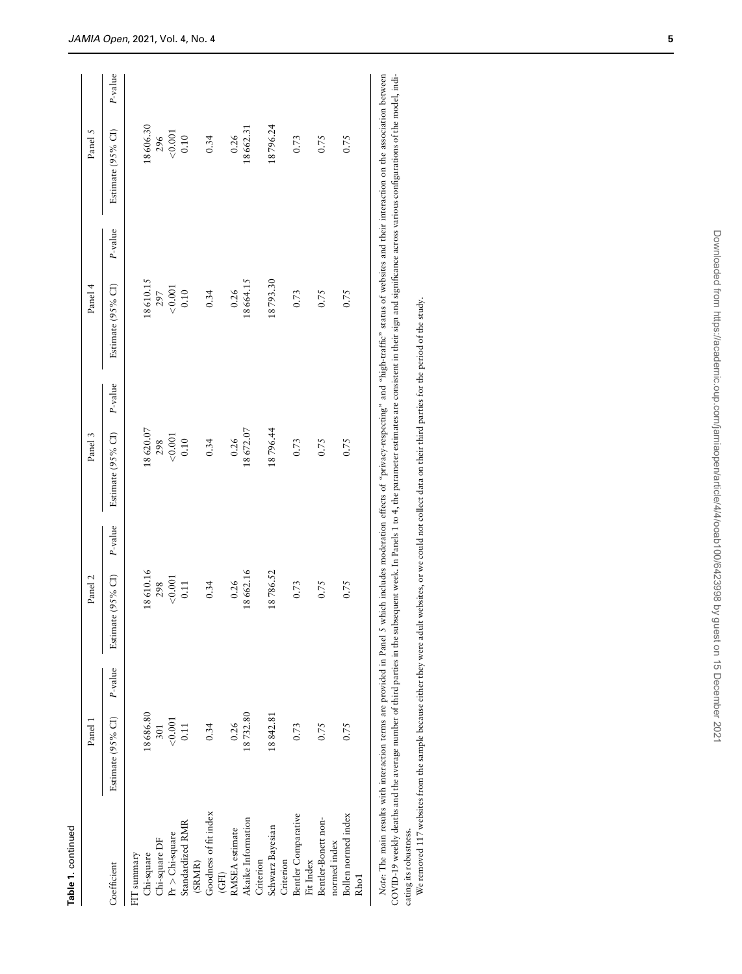| z<br>и |  |
|--------|--|
| ۷      |  |
|        |  |

|                                         | Panel 1                      | Panel 2           |         | Panel 3            |         | Panel 4            |         | Panel 5           |            |
|-----------------------------------------|------------------------------|-------------------|---------|--------------------|---------|--------------------|---------|-------------------|------------|
| Coefficient                             | Estimate (95% CI) $P$ -value | Estimate (95% CI) | P-value | Estimate (95% CI)  | P-value | Estimate (95% CI)  | P-value | Estimate (95% CI) | $P$ -value |
| FIT summary                             |                              |                   |         |                    |         |                    |         |                   |            |
| Chi-square                              | 18686.80                     | 18610.16          |         | 18620.07           |         | 18610.15           |         | 18606.30          |            |
| Chi-square DF                           | 301                          | 298               |         |                    |         |                    |         | 296               |            |
| $Pr$ > Chi-square                       | < 0.001                      | < 0.001           |         | $298$<br>$< 0.001$ |         | $297$<br>$< 0.001$ |         | $<\!0.001$        |            |
| Standardized RMR                        | 0.11                         | 0.11              |         | 0.10               |         | 0.10               |         | 0.10              |            |
| (SRMR)                                  |                              |                   |         |                    |         |                    |         |                   |            |
| Goodness of fit index                   | 0.34                         | 0.34              |         | 0.34               |         | 0.34               |         | 0.34              |            |
| (GF1)                                   |                              |                   |         |                    |         |                    |         |                   |            |
| RMSEA estimate                          | 0.26                         | 0.26              |         | 0.26               |         | 0.26               |         | 0.26              |            |
| Akaike Information                      | 18732.80                     | 18662.16          |         | 18672.07           |         | 18664.15           |         | 18662.31          |            |
| Criterion                               |                              |                   |         |                    |         |                    |         |                   |            |
| Schwarz Bayesian                        | 18842.81                     | 18786.52          |         | 18796.44           |         | 18793.30           |         | 18796.24          |            |
| Criterion                               |                              |                   |         |                    |         |                    |         |                   |            |
| Bentler Comparative<br>Fit Index        | 0.73                         | 0.73              |         | 0.73               |         | 0.73               |         | 0.73              |            |
| Bentler-Bonett non-<br>normed index     | 0.75                         | 0.75              |         | 0.75               |         | 0.75               |         | 0.75              |            |
| Bollen normed index<br>Rho <sub>1</sub> | 0.75                         | 0.75              |         | 0.75               |         | 0.75               |         | 0.75              |            |
|                                         |                              |                   |         |                    |         |                    |         |                   |            |

Note: The main results with interaction terms are provided in Panel 5 which includes moderation effects of "privacy-respecting" and "high-traffic" status of websites and their interaction on the association between COVID-1 Note: The main results with interaction terms are provided in Panel 5 which includes moderation effects of "privacy-respecting" and "high-traffic" status of websites and their interaction on the association between COVID-19 weekly deaths and the average number of third parties in the subsequent week. In Panels 1 to 4, the parameter estimates are consistent in their sign and significance across various configurations of the model, indicating its robustness. cating its robustness.

We removed 117 websites from the sample because either they were adult websites, or we could not collect data on their third parties for the period of the study. We removed 117 websites from the sample because either they were adult websites, or we could not collect data on their third parties for the period of the study.